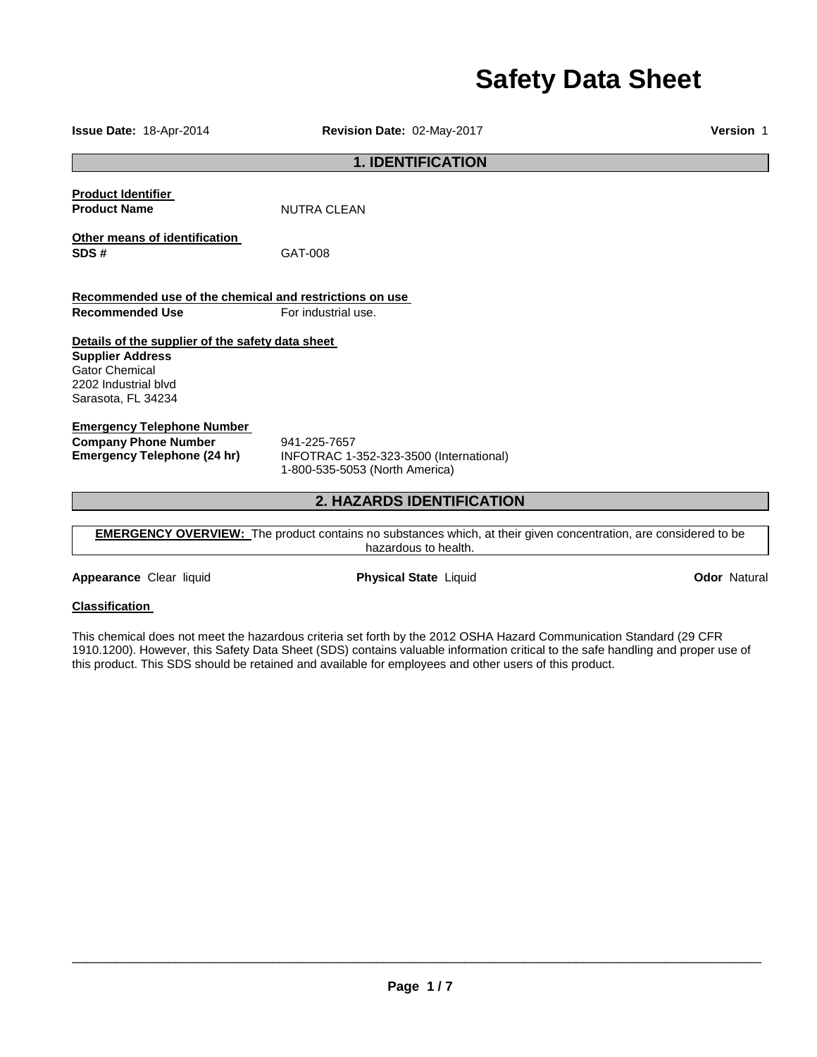# **Safety Data Sheet**

**1. IDENTIFICATION Product Identifier Product Name** NUTRA CLEAN **Other means of identification SDS #** GAT-008 **Recommended use of the chemical and restrictions on use Recommended Use For industrial use. Details of the supplier of the safety data sheet Supplier Address** Gator Chemical 2202 Industrial blvd Sarasota, FL 34234 **Emergency Telephone Number Company Phone Number** 941-225-7657<br>**Emergency Telephone (24 hr)** INFOTRAC 1-**Emergency Telephone (24 hr)** INFOTRAC 1-352-323-3500 (International) 1-800-535-5053 (North America)

# **2. HAZARDS IDENTIFICATION**

**EMERGENCY OVERVIEW:** The product contains no substances which, at their given concentration, are considered to be hazardous to health.

**Appearance** Clear liquid **Physical State** Liquid **Odor** Natural

## **Classification**

This chemical does not meet the hazardous criteria set forth by the 2012 OSHA Hazard Communication Standard (29 CFR 1910.1200). However, this Safety Data Sheet (SDS) contains valuable information critical to the safe handling and proper use of this product. This SDS should be retained and available for employees and other users of this product.

 $\overline{\phantom{a}}$  , and the state of the state of the state of the state of the state of the state of the state of the state of the state of the state of the state of the state of the state of the state of the state of the stat

**Issue Date:** 18-Apr-2014 **Revision Date:** 02-May-2017 **Version** 1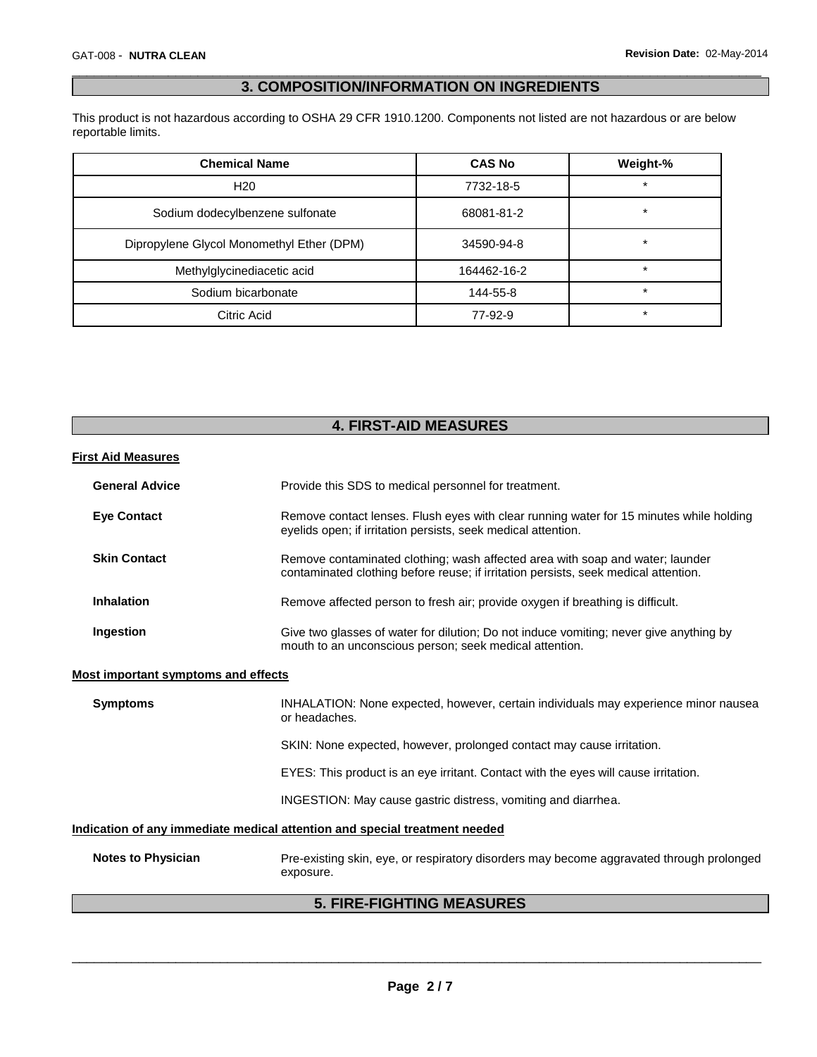# \_\_\_\_\_\_\_\_\_\_\_\_\_\_\_\_\_\_\_\_\_\_\_\_\_\_\_\_\_\_\_\_\_\_\_\_\_\_\_\_\_\_\_\_\_\_\_\_\_\_\_\_\_\_\_\_\_\_\_\_\_\_\_\_\_\_\_\_\_\_\_\_\_\_\_\_\_\_\_\_\_\_\_\_\_\_\_\_\_\_\_\_\_ **3. COMPOSITION/INFORMATION ON INGREDIENTS**

This product is not hazardous according to OSHA 29 CFR 1910.1200. Components not listed are not hazardous or are below reportable limits.

| <b>Chemical Name</b>                      | <b>CAS No</b> | Weight-% |
|-------------------------------------------|---------------|----------|
| H <sub>20</sub>                           | 7732-18-5     | $\ast$   |
| Sodium dodecylbenzene sulfonate           | 68081-81-2    | *        |
| Dipropylene Glycol Monomethyl Ether (DPM) | 34590-94-8    | $\star$  |
| Methylglycinediacetic acid                | 164462-16-2   | $\ast$   |
| Sodium bicarbonate                        | 144-55-8      | $\ast$   |
| Citric Acid                               | 77-92-9       | $\star$  |

| <b>4. FIRST-AID MEASURES</b>                                               |                                                                                                                                                                      |  |
|----------------------------------------------------------------------------|----------------------------------------------------------------------------------------------------------------------------------------------------------------------|--|
| <b>First Aid Measures</b>                                                  |                                                                                                                                                                      |  |
|                                                                            |                                                                                                                                                                      |  |
| <b>General Advice</b>                                                      | Provide this SDS to medical personnel for treatment.                                                                                                                 |  |
| <b>Eye Contact</b>                                                         | Remove contact lenses. Flush eyes with clear running water for 15 minutes while holding<br>eyelids open; if irritation persists, seek medical attention.             |  |
| <b>Skin Contact</b>                                                        | Remove contaminated clothing; wash affected area with soap and water; launder<br>contaminated clothing before reuse; if irritation persists, seek medical attention. |  |
| <b>Inhalation</b>                                                          | Remove affected person to fresh air; provide oxygen if breathing is difficult.                                                                                       |  |
| Ingestion                                                                  | Give two glasses of water for dilution; Do not induce vomiting; never give anything by<br>mouth to an unconscious person; seek medical attention.                    |  |
| Most important symptoms and effects                                        |                                                                                                                                                                      |  |
| <b>Symptoms</b>                                                            | INHALATION: None expected, however, certain individuals may experience minor nausea<br>or headaches.                                                                 |  |
|                                                                            | SKIN: None expected, however, prolonged contact may cause irritation.                                                                                                |  |
|                                                                            | EYES: This product is an eye irritant. Contact with the eyes will cause irritation.                                                                                  |  |
|                                                                            | INGESTION: May cause gastric distress, vomiting and diarrhea.                                                                                                        |  |
| Indication of any immediate medical attention and special treatment needed |                                                                                                                                                                      |  |
| <b>Notes to Physician</b>                                                  | Pre-existing skin, eye, or respiratory disorders may become aggravated through prolonged<br>exposure.                                                                |  |
| <b>5. FIRE-FIGHTING MEASURES</b>                                           |                                                                                                                                                                      |  |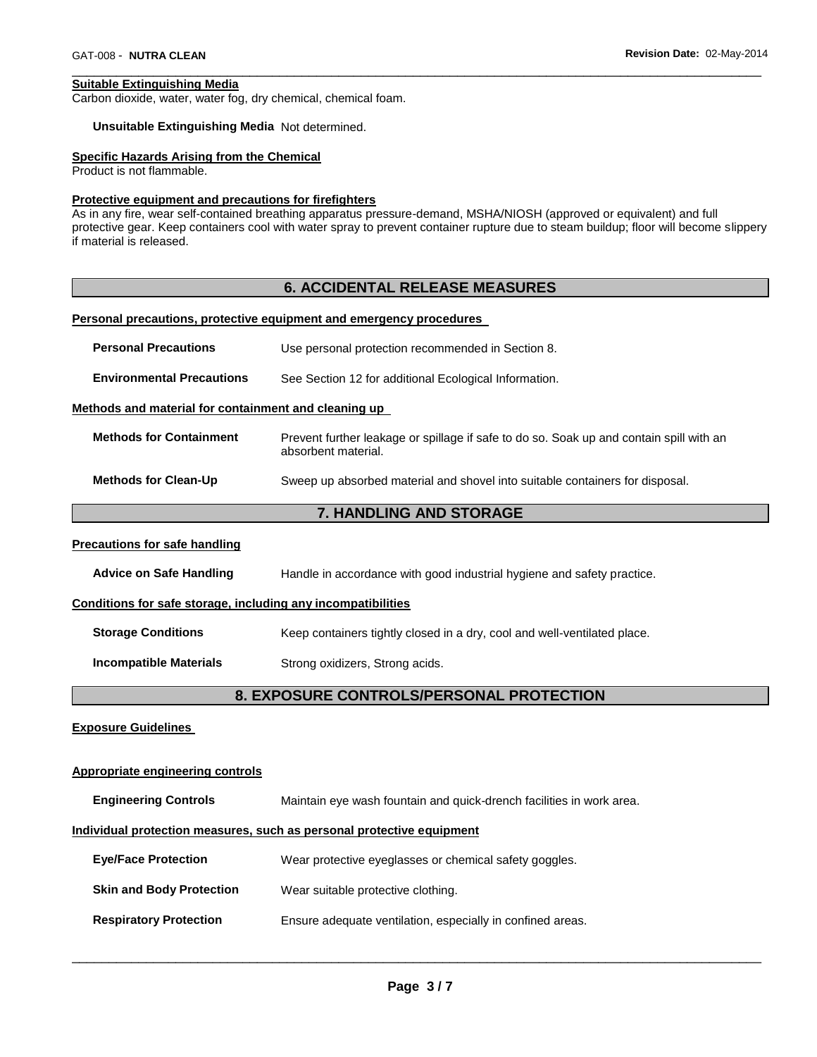#### **Suitable Extinguishing Media**

Carbon dioxide, water, water fog, dry chemical, chemical foam.

#### **Unsuitable Extinguishing Media** Not determined.

#### **Specific Hazards Arising from the Chemical**

Product is not flammable.

#### **Protective equipment and precautions for firefighters**

As in any fire, wear self-contained breathing apparatus pressure-demand, MSHA/NIOSH (approved or equivalent) and full protective gear. Keep containers cool with water spray to prevent container rupture due to steam buildup; floor will become slippery if material is released.

\_\_\_\_\_\_\_\_\_\_\_\_\_\_\_\_\_\_\_\_\_\_\_\_\_\_\_\_\_\_\_\_\_\_\_\_\_\_\_\_\_\_\_\_\_\_\_\_\_\_\_\_\_\_\_\_\_\_\_\_\_\_\_\_\_\_\_\_\_\_\_\_\_\_\_\_\_\_\_\_\_\_\_\_\_\_\_\_\_\_\_\_\_

# **6. ACCIDENTAL RELEASE MEASURES**

## **Personal precautions, protective equipment and emergency procedures**

| <b>Personal Precautions</b>                                  | Use personal protection recommended in Section 8.                                                              |  |  |
|--------------------------------------------------------------|----------------------------------------------------------------------------------------------------------------|--|--|
| <b>Environmental Precautions</b>                             | See Section 12 for additional Ecological Information.                                                          |  |  |
| Methods and material for containment and cleaning up         |                                                                                                                |  |  |
| <b>Methods for Containment</b>                               | Prevent further leakage or spillage if safe to do so. Soak up and contain spill with an<br>absorbent material. |  |  |
| <b>Methods for Clean-Up</b>                                  | Sweep up absorbed material and shovel into suitable containers for disposal.                                   |  |  |
|                                                              | 7. HANDLING AND STORAGE                                                                                        |  |  |
| <b>Precautions for safe handling</b>                         |                                                                                                                |  |  |
| <b>Advice on Safe Handling</b>                               | Handle in accordance with good industrial hygiene and safety practice.                                         |  |  |
| Conditions for safe storage, including any incompatibilities |                                                                                                                |  |  |
| <b>Storage Conditions</b>                                    | Keep containers tightly closed in a dry, cool and well-ventilated place.                                       |  |  |
| <b>Incompatible Materials</b>                                | Strong oxidizers, Strong acids.                                                                                |  |  |
|                                                              | 8. EXPOSURE CONTROLS/PERSONAL PROTECTION                                                                       |  |  |
| <b>Exposure Guidelines</b>                                   |                                                                                                                |  |  |
| <b>Appropriate engineering controls</b>                      |                                                                                                                |  |  |
| <b>Engineering Controls</b>                                  | Maintain eye wash fountain and quick-drench facilities in work area.                                           |  |  |
|                                                              | Individual protection measures, such as personal protective equipment                                          |  |  |
| <b>Eye/Face Protection</b>                                   | Wear protective eyeglasses or chemical safety goggles.                                                         |  |  |
| <b>Skin and Body Protection</b>                              | Wear suitable protective clothing.                                                                             |  |  |
| <b>Respiratory Protection</b>                                | Ensure adequate ventilation, especially in confined areas.                                                     |  |  |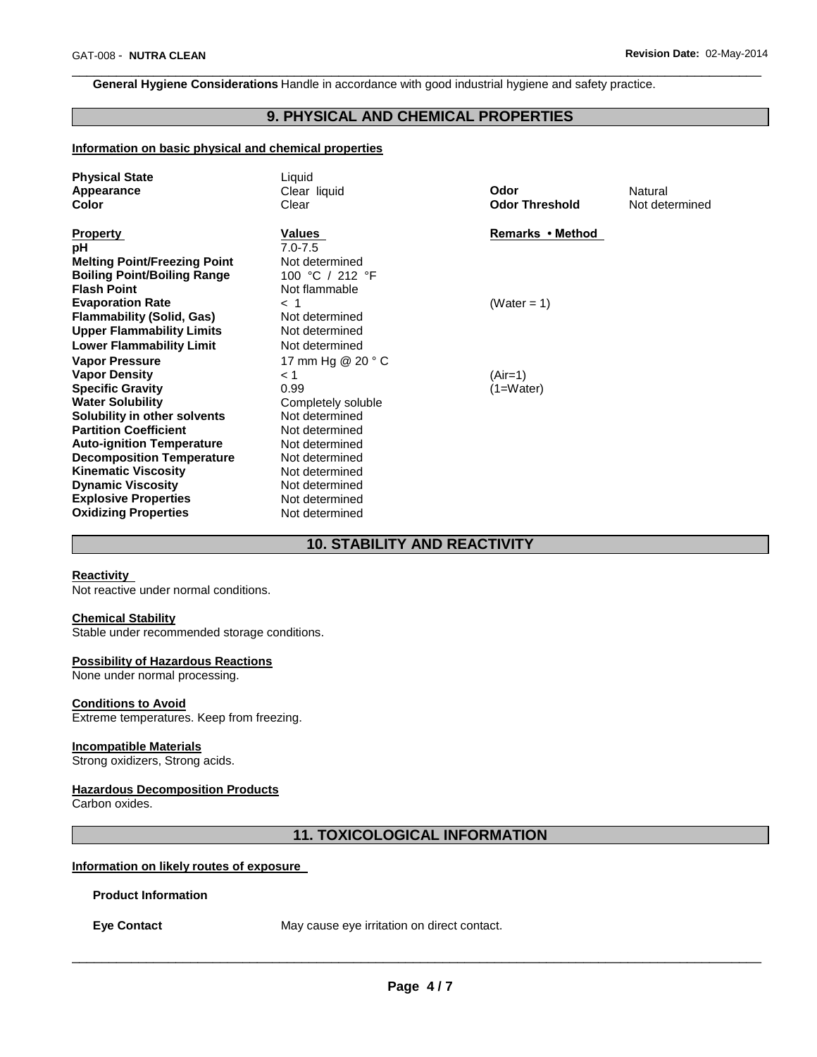**General Hygiene Considerations** Handle in accordance with good industrial hygiene and safety practice.

# **9. PHYSICAL AND CHEMICAL PROPERTIES**

\_\_\_\_\_\_\_\_\_\_\_\_\_\_\_\_\_\_\_\_\_\_\_\_\_\_\_\_\_\_\_\_\_\_\_\_\_\_\_\_\_\_\_\_\_\_\_\_\_\_\_\_\_\_\_\_\_\_\_\_\_\_\_\_\_\_\_\_\_\_\_\_\_\_\_\_\_\_\_\_\_\_\_\_\_\_\_\_\_\_\_\_\_

## **Information on basic physical and chemical properties**

| <b>Physical State</b><br>Appearance<br>Color                                                                                                                                                                                 | Liquid<br>Clear liquid<br>Clear                                                                                            | Odor<br><b>Odor Threshold</b> | Natural<br>Not determined |
|------------------------------------------------------------------------------------------------------------------------------------------------------------------------------------------------------------------------------|----------------------------------------------------------------------------------------------------------------------------|-------------------------------|---------------------------|
| <b>Property</b><br>рH<br><b>Melting Point/Freezing Point</b><br><b>Boiling Point/Boiling Range</b><br><b>Flash Point</b>                                                                                                     | Values<br>$7.0 - 7.5$<br>Not determined<br>100 °C / 212 °F<br>Not flammable                                                | Remarks • Method              |                           |
| <b>Evaporation Rate</b><br><b>Flammability (Solid, Gas)</b><br><b>Upper Flammability Limits</b><br><b>Lower Flammability Limit</b>                                                                                           | $<$ 1<br>Not determined<br>Not determined<br>Not determined                                                                | (Water = 1)                   |                           |
| <b>Vapor Pressure</b><br><b>Vapor Density</b><br><b>Specific Gravity</b><br><b>Water Solubility</b><br>Solubility in other solvents                                                                                          | 17 mm Hg @ 20 ° C<br>< 1<br>0.99<br>Completely soluble<br>Not determined                                                   | (Air=1)<br>$(1=Water)$        |                           |
| <b>Partition Coefficient</b><br><b>Auto-ignition Temperature</b><br><b>Decomposition Temperature</b><br><b>Kinematic Viscosity</b><br><b>Dynamic Viscosity</b><br><b>Explosive Properties</b><br><b>Oxidizing Properties</b> | Not determined<br>Not determined<br>Not determined<br>Not determined<br>Not determined<br>Not determined<br>Not determined |                               |                           |

# **10. STABILITY AND REACTIVITY**

# **Reactivity**

Not reactive under normal conditions.

## **Chemical Stability**

Stable under recommended storage conditions.

## **Possibility of Hazardous Reactions**

None under normal processing.

# **Conditions to Avoid**

Extreme temperatures. Keep from freezing.

# **Incompatible Materials**

Strong oxidizers, Strong acids.

# **Hazardous Decomposition Products**

Carbon oxides.

**11. TOXICOLOGICAL INFORMATION** 

# **Information on likely routes of exposure**

#### **Product Information**

**Eye Contact** May cause eye irritation on direct contact.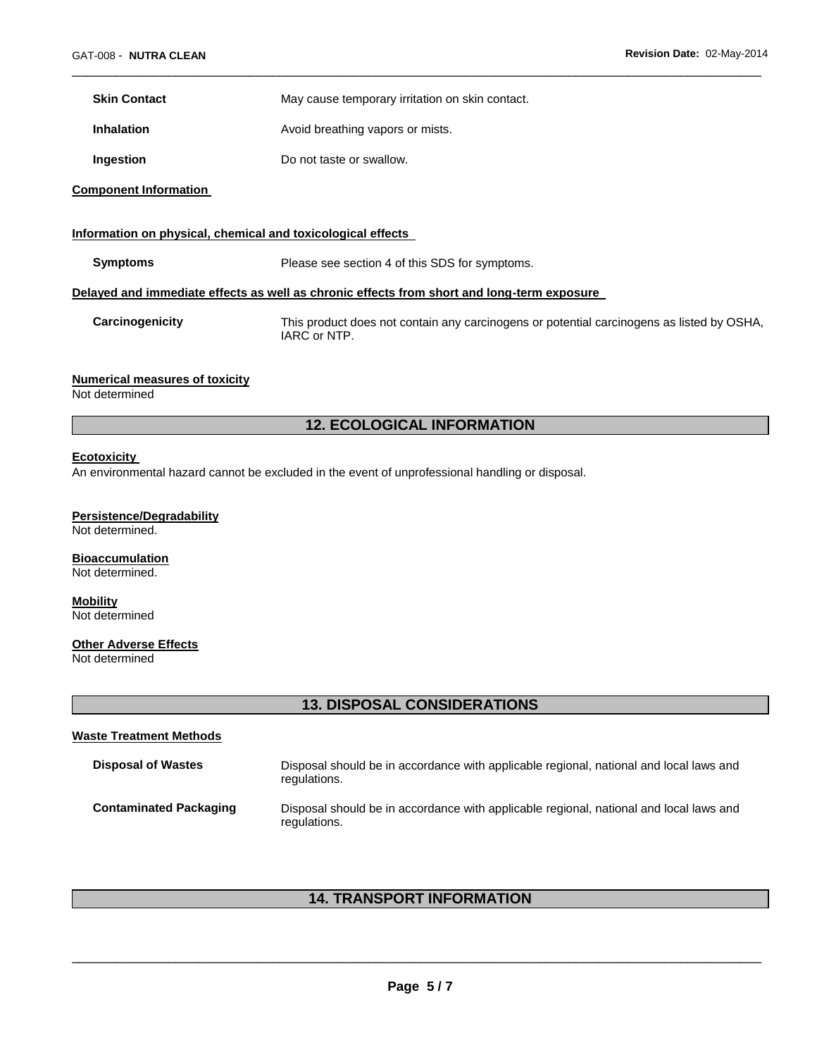**Skin Contact** May cause temporary irritation on skin contact.

**Inhalation Avoid breathing vapors or mists.** 

**Ingestion Do not taste or swallow.** 

**Component Information** 

|                 | Information on physical, chemical and toxicological effects                                               |
|-----------------|-----------------------------------------------------------------------------------------------------------|
| <b>Symptoms</b> | Please see section 4 of this SDS for symptoms.                                                            |
|                 | Delayed and immediate effects as well as chronic effects from short and long-term exposure                |
| Carcinogenicity | This product does not contain any carcinogens or potential carcinogens as listed by OSHA,<br>IARC or NTP. |

\_\_\_\_\_\_\_\_\_\_\_\_\_\_\_\_\_\_\_\_\_\_\_\_\_\_\_\_\_\_\_\_\_\_\_\_\_\_\_\_\_\_\_\_\_\_\_\_\_\_\_\_\_\_\_\_\_\_\_\_\_\_\_\_\_\_\_\_\_\_\_\_\_\_\_\_\_\_\_\_\_\_\_\_\_\_\_\_\_\_\_\_\_

## **Numerical measures of toxicity**

Not determined

# **12. ECOLOGICAL INFORMATION**

#### **Ecotoxicity**

An environmental hazard cannot be excluded in the event of unprofessional handling or disposal.

## **Persistence/Degradability**

Not determined.

## **Bioaccumulation**

Not determined.

#### **Mobility** Not determined

# **Other Adverse Effects**

Not determined

# **13. DISPOSAL CONSIDERATIONS**

# **Waste Treatment Methods**

| <b>Disposal of Wastes</b>     | Disposal should be in accordance with applicable regional, national and local laws and<br>regulations. |
|-------------------------------|--------------------------------------------------------------------------------------------------------|
| <b>Contaminated Packaging</b> | Disposal should be in accordance with applicable regional, national and local laws and<br>regulations. |

# **14. TRANSPORT INFORMATION**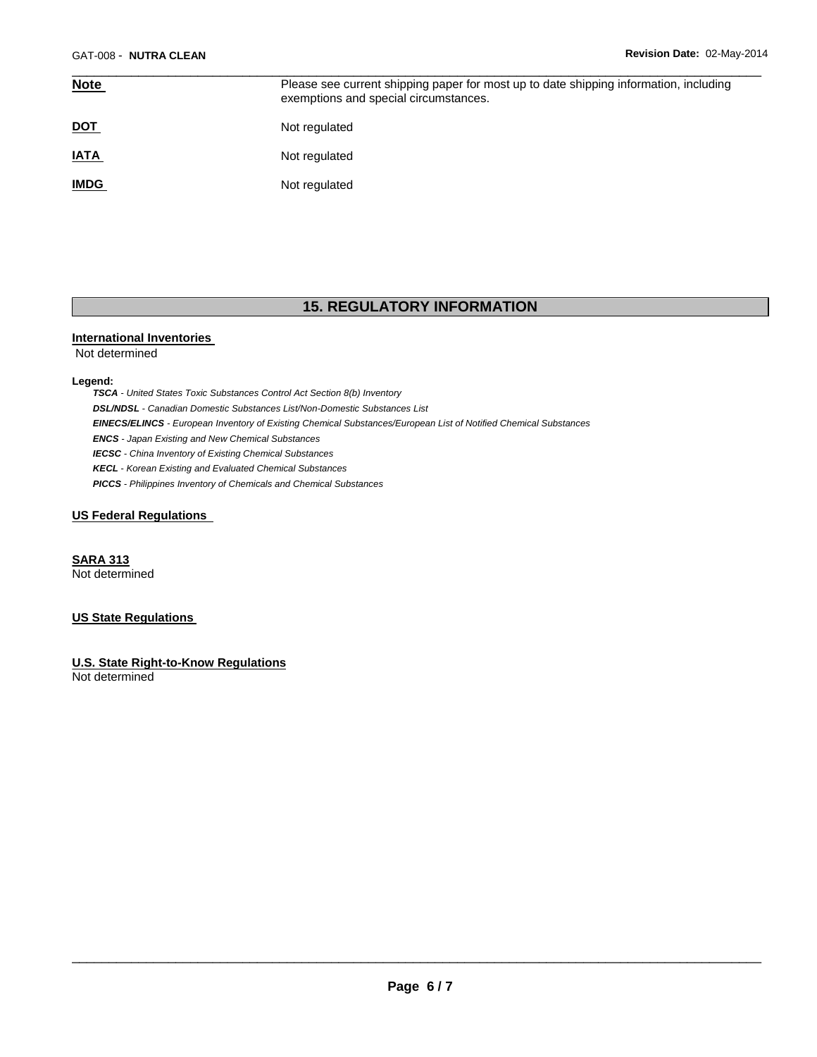| <b>Note</b> | Please see current shipping paper for most up to date shipping information, including<br>exemptions and special circumstances. |
|-------------|--------------------------------------------------------------------------------------------------------------------------------|
| <u>DOT</u>  | Not regulated                                                                                                                  |
| <b>IATA</b> | Not regulated                                                                                                                  |
| <b>IMDG</b> | Not regulated                                                                                                                  |

# **15. REGULATORY INFORMATION**

#### **International Inventories**

Not determined

#### **Legend:**

*TSCA - United States Toxic Substances Control Act Section 8(b) Inventory DSL/NDSL - Canadian Domestic Substances List/Non-Domestic Substances List EINECS/ELINCS - European Inventory of Existing Chemical Substances/European List of Notified Chemical Substances ENCS - Japan Existing and New Chemical Substances IECSC - China Inventory of Existing Chemical Substances KECL - Korean Existing and Evaluated Chemical Substances PICCS - Philippines Inventory of Chemicals and Chemical Substances* 

## **US Federal Regulations**

**SARA 313** Not determined

## **US State Regulations**

**U.S. State Right-to-Know Regulations**

Not determined